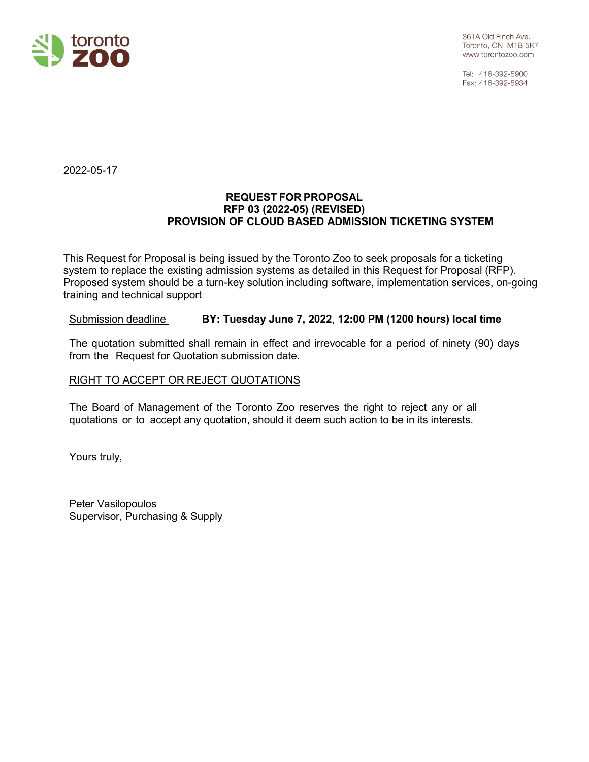

Tel: 416-392-5900 Fax: 416-392-5934

2022-05-17

#### **REQUEST FOR PROPOSAL RFP 03 (2022-05) (REVISED) PROVISION OF CLOUD BASED ADMISSION TICKETING SYSTEM**

This Request for Proposal is being issued by the Toronto Zoo to seek proposals for a ticketing system to replace the existing admission systems as detailed in this Request for Proposal (RFP). Proposed system should be a turn-key solution including software, implementation services, on-going training and technical support

## Submission deadline **BY: Tuesday June 7, 2022**, **12:00 PM (1200 hours) local time**

The quotation submitted shall remain in effect and irrevocable for a period of ninety (90) days from the Request for Quotation submission date.

#### RIGHT TO ACCEPT OR REJECT QUOTATIONS

The Board of Management of the Toronto Zoo reserves the right to reject any or all quotations or to accept any quotation, should it deem such action to be in its interests.

Yours truly,

Peter Vasilopoulos Supervisor, Purchasing & Supply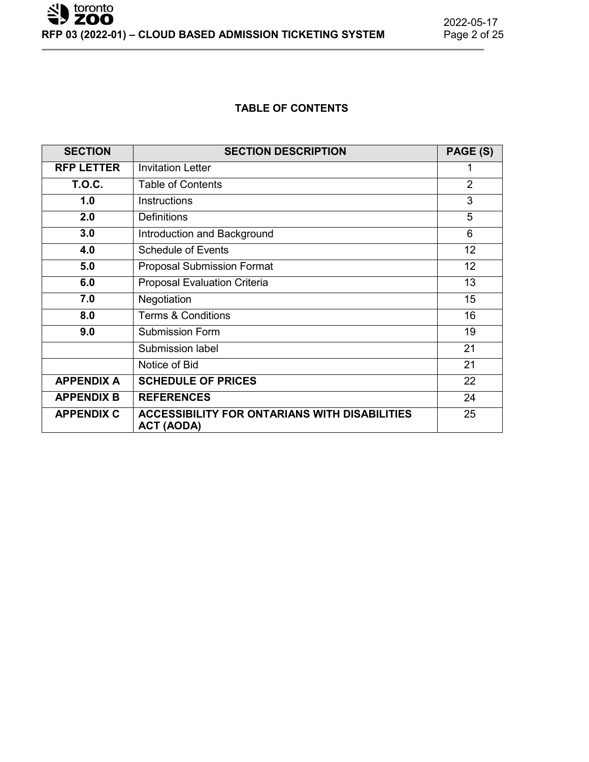## **TABLE OF CONTENTS**

| <b>SECTION</b>    | <b>SECTION DESCRIPTION</b>                                                | PAGE (S)       |
|-------------------|---------------------------------------------------------------------------|----------------|
| <b>RFP LETTER</b> | <b>Invitation Letter</b>                                                  | 1              |
| <b>T.O.C.</b>     | Table of Contents                                                         | $\overline{2}$ |
| 1.0               | <b>Instructions</b>                                                       | 3              |
| 2.0               | <b>Definitions</b>                                                        | 5              |
| 3.0               | Introduction and Background                                               | 6              |
| 4.0               | <b>Schedule of Events</b>                                                 | 12             |
| 5.0               | <b>Proposal Submission Format</b>                                         | 12             |
| 6.0               | <b>Proposal Evaluation Criteria</b>                                       | 13             |
| 7.0               | Negotiation                                                               | 15             |
| 8.0               | <b>Terms &amp; Conditions</b>                                             | 16             |
| 9.0               | <b>Submission Form</b>                                                    | 19             |
|                   | <b>Submission label</b>                                                   | 21             |
|                   | Notice of Bid                                                             | 21             |
| <b>APPENDIX A</b> | <b>SCHEDULE OF PRICES</b>                                                 | 22             |
| <b>APPENDIX B</b> | <b>REFERENCES</b>                                                         | 24             |
| <b>APPENDIX C</b> | <b>ACCESSIBILITY FOR ONTARIANS WITH DISABILITIES</b><br><b>ACT (AODA)</b> | 25             |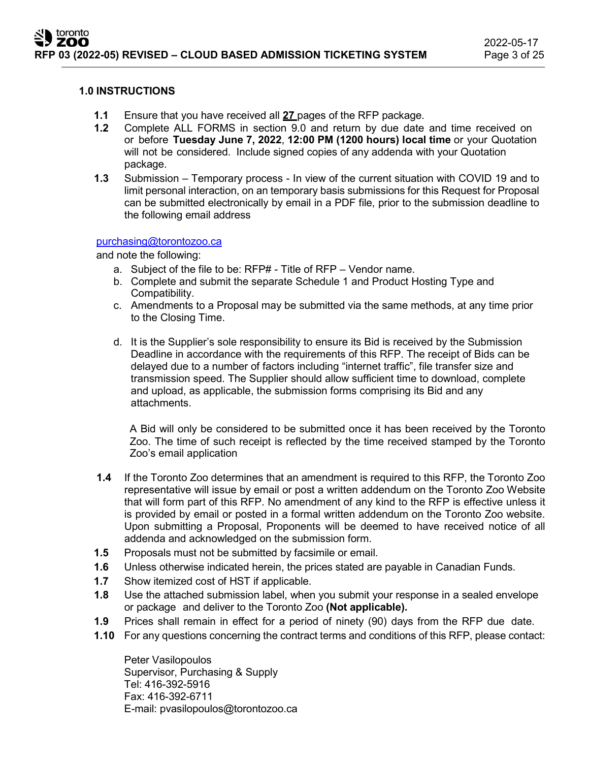#### **1.0 INSTRUCTIONS**

- **1.1** Ensure that you have received all **27** pages of the RFP package.
- **1.2** Complete ALL FORMS in section 9.0 and return by due date and time received on or before **Tuesday June 7, 2022**, **12:00 PM (1200 hours) local time** or your Quotation will not be considered. Include signed copies of any addenda with your Quotation package.
- **1.3** Submission Temporary process In view of the current situation with COVID 19 and to limit personal interaction, on an temporary basis submissions for this Request for Proposal can be submitted electronically by email in a PDF file, prior to the submission deadline to the following email address

## [purchasing@torontozoo.ca](mailto:purchasing@torontozoo.ca)

and note the following:

- a. Subject of the file to be: RFP# Title of RFP Vendor name.
- b. Complete and submit the separate Schedule 1 and Product Hosting Type and Compatibility.
- c. Amendments to a Proposal may be submitted via the same methods, at any time prior to the Closing Time.
- d. It is the Supplier's sole responsibility to ensure its Bid is received by the Submission Deadline in accordance with the requirements of this RFP. The receipt of Bids can be delayed due to a number of factors including "internet traffic", file transfer size and transmission speed. The Supplier should allow sufficient time to download, complete and upload, as applicable, the submission forms comprising its Bid and any attachments.

A Bid will only be considered to be submitted once it has been received by the Toronto Zoo. The time of such receipt is reflected by the time received stamped by the Toronto Zoo's email application

- **1.4** If the Toronto Zoo determines that an amendment is required to this RFP, the Toronto Zoo representative will issue by email or post a written addendum on the Toronto Zoo Website that will form part of this RFP. No amendment of any kind to the RFP is effective unless it is provided by email or posted in a formal written addendum on the Toronto Zoo website. Upon submitting a Proposal, Proponents will be deemed to have received notice of all addenda and acknowledged on the submission form.
- **1.5** Proposals must not be submitted by facsimile or email.
- **1.6** Unless otherwise indicated herein, the prices stated are payable in Canadian Funds.
- **1.7** Show itemized cost of HST if applicable.
- **1.8** Use the attached submission label, when you submit your response in a sealed envelope or package and deliver to the Toronto Zoo **(Not applicable).**
- **1.9** Prices shall remain in effect for a period of ninety (90) days from the RFP due date.
- **1.10** For any questions concerning the contract terms and conditions of this RFP, please contact:

Peter Vasilopoulos Supervisor, Purchasing & Supply Tel: 416-392-5916 Fax: 416-392-6711 E-mail: [pvasilopoulos@torontozoo.ca](mailto:pvasilopoulos@torontozoo.ca)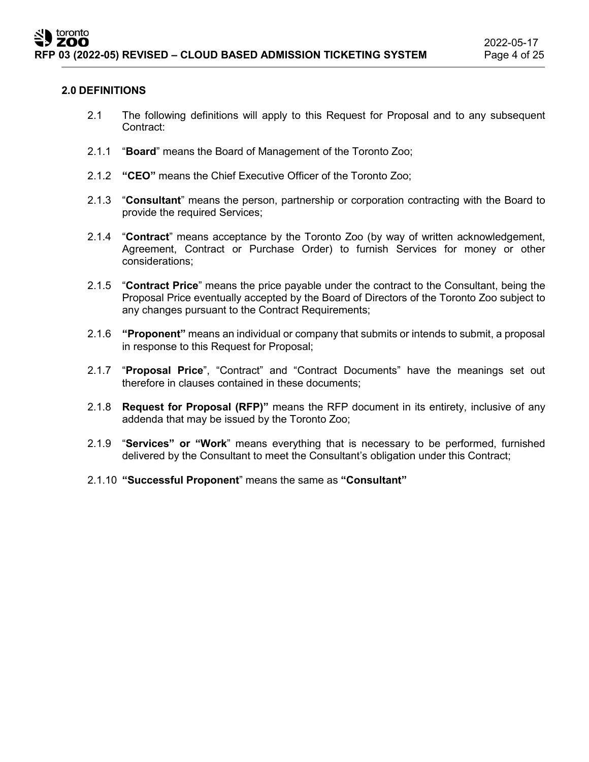#### **2.0 DEFINITIONS**

- 2.1 The following definitions will apply to this Request for Proposal and to any subsequent Contract:
- 2.1.1 "**Board**" means the Board of Management of the Toronto Zoo;
- 2.1.2 **"CEO"** means the Chief Executive Officer of the Toronto Zoo;
- 2.1.3 "**Consultant**" means the person, partnership or corporation contracting with the Board to provide the required Services;
- 2.1.4 "**Contract**" means acceptance by the Toronto Zoo (by way of written acknowledgement, Agreement, Contract or Purchase Order) to furnish Services for money or other considerations;
- 2.1.5 "**Contract Price**" means the price payable under the contract to the Consultant, being the Proposal Price eventually accepted by the Board of Directors of the Toronto Zoo subject to any changes pursuant to the Contract Requirements;
- 2.1.6 **"Proponent"** means an individual or company that submits or intends to submit, a proposal in response to this Request for Proposal;
- 2.1.7 "**Proposal Price**", "Contract" and "Contract Documents" have the meanings set out therefore in clauses contained in these documents;
- 2.1.8 **Request for Proposal (RFP)"** means the RFP document in its entirety, inclusive of any addenda that may be issued by the Toronto Zoo;
- 2.1.9 "**Services" or "Work**" means everything that is necessary to be performed, furnished delivered by the Consultant to meet the Consultant's obligation under this Contract;
- 2.1.10 **"Successful Proponent**" means the same as **"Consultant"**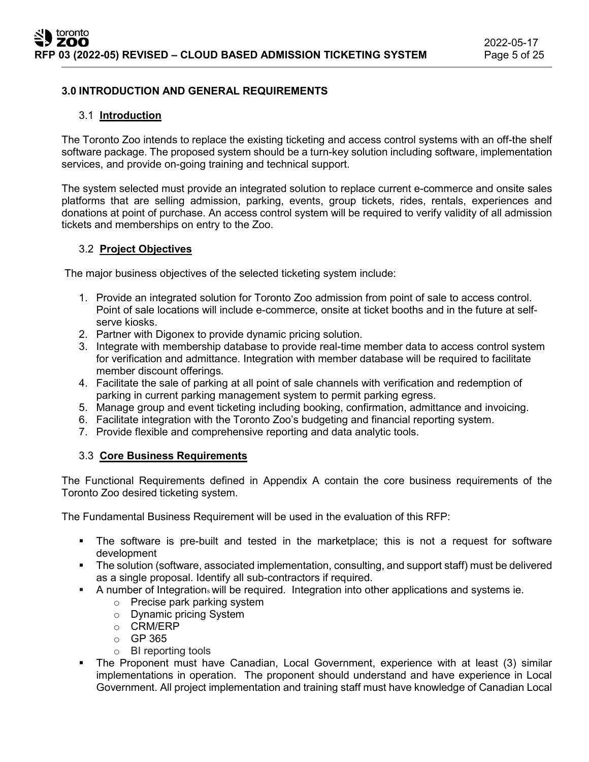## **3.0 INTRODUCTION AND GENERAL REQUIREMENTS**

#### 3.1 **Introduction**

The Toronto Zoo intends to replace the existing ticketing and access control systems with an off-the shelf software package. The proposed system should be a turn-key solution including software, implementation services, and provide on-going training and technical support.

The system selected must provide an integrated solution to replace current e-commerce and onsite sales platforms that are selling admission, parking, events, group tickets, rides, rentals, experiences and donations at point of purchase. An access control system will be required to verify validity of all admission tickets and memberships on entry to the Zoo.

## 3.2 **Project Objectives**

The major business objectives of the selected ticketing system include:

- 1. Provide an integrated solution for Toronto Zoo admission from point of sale to access control. Point of sale locations will include e-commerce, onsite at ticket booths and in the future at selfserve kiosks.
- 2. Partner with Digonex to provide dynamic pricing solution.
- 3. Integrate with membership database to provide real-time member data to access control system for verification and admittance. Integration with member database will be required to facilitate member discount offerings.
- 4. Facilitate the sale of parking at all point of sale channels with verification and redemption of parking in current parking management system to permit parking egress.
- 5. Manage group and event ticketing including booking, confirmation, admittance and invoicing.
- 6. Facilitate integration with the Toronto Zoo's budgeting and financial reporting system.
- 7. Provide flexible and comprehensive reporting and data analytic tools.

#### 3.3 **Core Business Requirements**

The Functional Requirements defined in Appendix A contain the core business requirements of the Toronto Zoo desired ticketing system.

The Fundamental Business Requirement will be used in the evaluation of this RFP:

- The software is pre-built and tested in the marketplace; this is not a request for software development
- The solution (software, associated implementation, consulting, and support staff) must be delivered as a single proposal. Identify all sub-contractors if required.
- A number of Integration<sup>s</sup> will be required. Integration into other applications and systems ie.
	- o Precise park parking system
	- o Dynamic pricing System
	- o CRM/ERP
	- o GP 365
	- o BI reporting tools
- The Proponent must have Canadian, Local Government, experience with at least (3) similar implementations in operation. The proponent should understand and have experience in Local Government. All project implementation and training staff must have knowledge of Canadian Local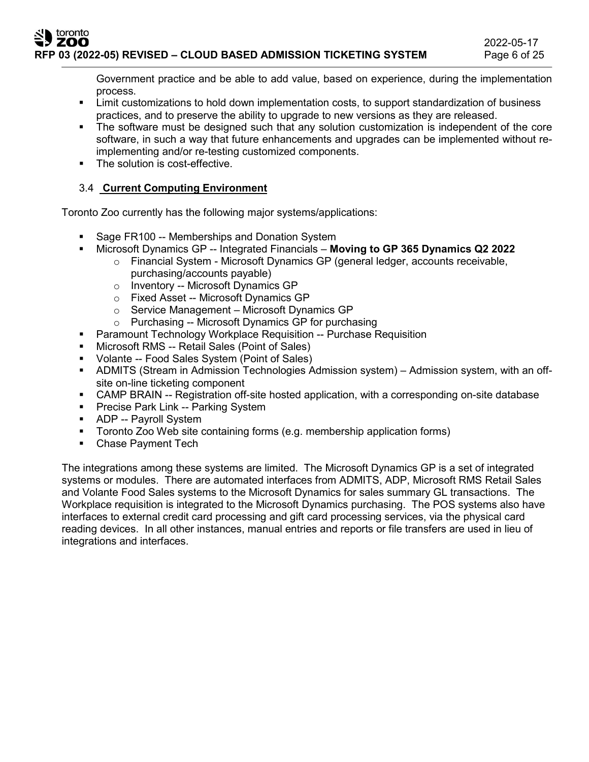Government practice and be able to add value, based on experience, during the implementation process.

- Limit customizations to hold down implementation costs, to support standardization of business practices, and to preserve the ability to upgrade to new versions as they are released.
- The software must be designed such that any solution customization is independent of the core software, in such a way that future enhancements and upgrades can be implemented without reimplementing and/or re-testing customized components.
- The solution is cost-effective.

## 3.4 **Current Computing Environment**

Toronto Zoo currently has the following major systems/applications:

- Sage FR100 -- Memberships and Donation System
- Microsoft Dynamics GP -- Integrated Financials **Moving to GP 365 Dynamics Q2 2022**
	- $\circ$  Financial System Microsoft Dynamics GP (general ledger, accounts receivable, purchasing/accounts payable)
	- o Inventory -- Microsoft Dynamics GP
	- o Fixed Asset -- Microsoft Dynamics GP
	- $\circ$  Service Management Microsoft Dynamics GP
	- o Purchasing -- Microsoft Dynamics GP for purchasing
- Paramount Technology Workplace Requisition -- Purchase Requisition
- Microsoft RMS -- Retail Sales (Point of Sales)
- Volante -- Food Sales System (Point of Sales)
- ADMITS (Stream in Admission Technologies Admission system) Admission system, with an offsite on-line ticketing component
- CAMP BRAIN -- Registration off-site hosted application, with a corresponding on-site database
- **Precise Park Link -- Parking System**
- **ADP** -- Payroll System
- Toronto Zoo Web site containing forms (e.g. membership application forms)
- Chase Payment Tech

The integrations among these systems are limited. The Microsoft Dynamics GP is a set of integrated systems or modules. There are automated interfaces from ADMITS, ADP, Microsoft RMS Retail Sales and Volante Food Sales systems to the Microsoft Dynamics for sales summary GL transactions. The Workplace requisition is integrated to the Microsoft Dynamics purchasing. The POS systems also have interfaces to external credit card processing and gift card processing services, via the physical card reading devices. In all other instances, manual entries and reports or file transfers are used in lieu of integrations and interfaces.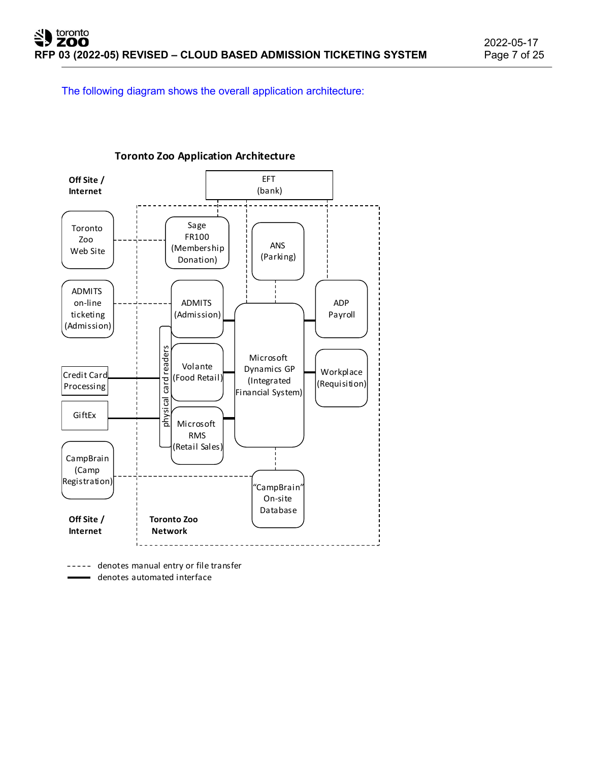The following diagram shows the overall application architecture:



**Toronto Zoo Application Architecture**

----- denotes manual entry or file transfer denotes automated interface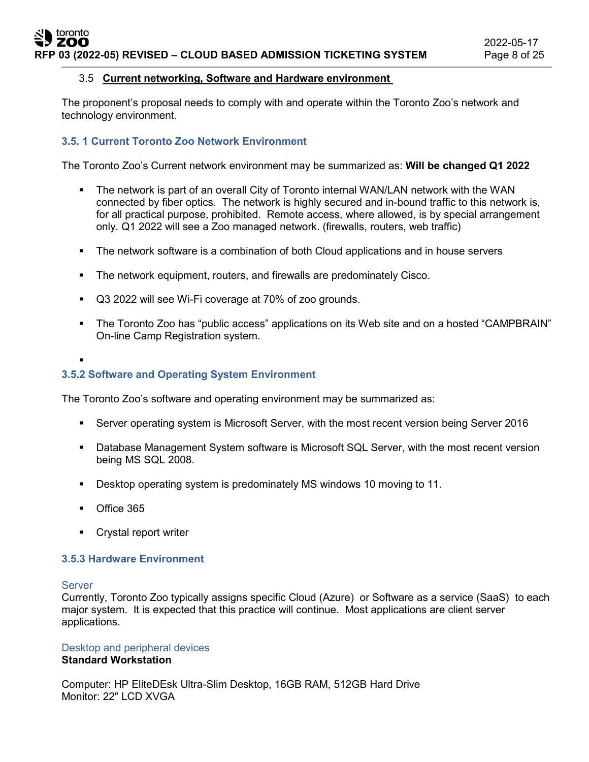## 3.5 **Current networking, Software and Hardware environment**

The proponent's proposal needs to comply with and operate within the Toronto Zoo's network and technology environment.

## **3.5. 1 Current Toronto Zoo Network Environment**

The Toronto Zoo's Current network environment may be summarized as: **Will be changed Q1 2022**

- The network is part of an overall City of Toronto internal WAN/LAN network with the WAN connected by fiber optics. The network is highly secured and in-bound traffic to this network is, for all practical purpose, prohibited. Remote access, where allowed, is by special arrangement only. Q1 2022 will see a Zoo managed network. (firewalls, routers, web traffic)
- The network software is a combination of both Cloud applications and in house servers
- **The network equipment, routers, and firewalls are predominately Cisco.**
- Q3 2022 will see Wi-Fi coverage at 70% of zoo grounds.
- The Toronto Zoo has "public access" applications on its Web site and on a hosted "CAMPBRAIN" On-line Camp Registration system.
- .

## **3.5.2 Software and Operating System Environment**

The Toronto Zoo's software and operating environment may be summarized as:

- Server operating system is Microsoft Server, with the most recent version being Server 2016
- Database Management System software is Microsoft SQL Server, with the most recent version being MS SQL 2008.
- Desktop operating system is predominately MS windows 10 moving to 11.
- **Office 365**
- **Crystal report writer**

#### **3.5.3 Hardware Environment**

#### Server

Currently, Toronto Zoo typically assigns specific Cloud (Azure) or Software as a service (SaaS) to each major system. It is expected that this practice will continue. Most applications are client server applications.

# Desktop and peripheral devices

## **Standard Workstation**

Computer: HP EliteDEsk Ultra-Slim Desktop, 16GB RAM, 512GB Hard Drive Monitor: 22" LCD XVGA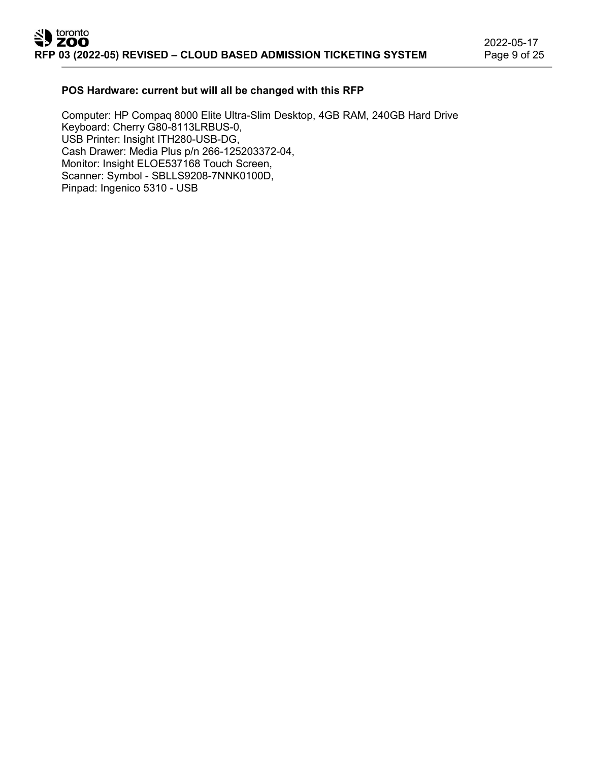2022-05-17

#### **POS Hardware: current but will all be changed with this RFP**

Computer: HP Compaq 8000 Elite Ultra-Slim Desktop, 4GB RAM, 240GB Hard Drive Keyboard: Cherry G80-8113LRBUS-0, USB Printer: Insight ITH280-USB-DG, Cash Drawer: Media Plus p/n 266-125203372-04, Monitor: Insight ELOE537168 Touch Screen, Scanner: Symbol - SBLLS9208-7NNK0100D, Pinpad: Ingenico 5310 - USB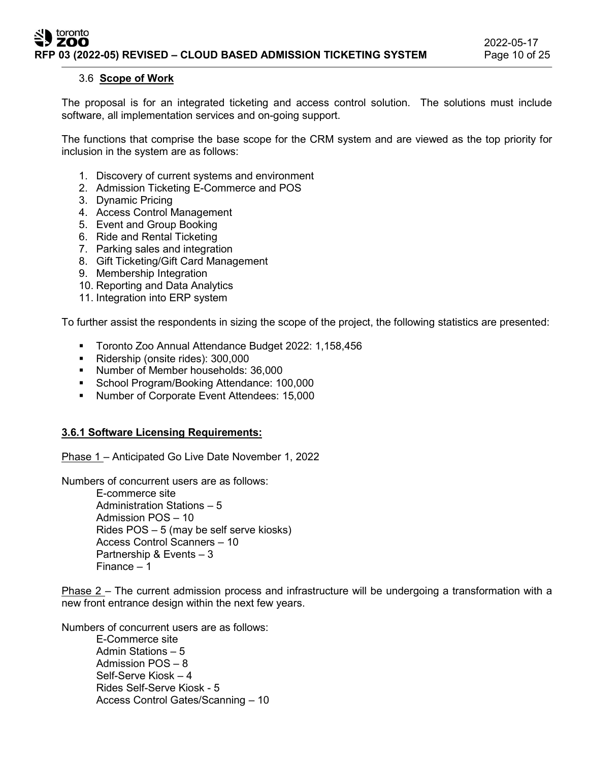#### 3.6 **Scope of Work**

The proposal is for an integrated ticketing and access control solution. The solutions must include software, all implementation services and on-going support.

The functions that comprise the base scope for the CRM system and are viewed as the top priority for inclusion in the system are as follows:

- 1. Discovery of current systems and environment
- 2. Admission Ticketing E-Commerce and POS
- 3. Dynamic Pricing
- 4. Access Control Management
- 5. Event and Group Booking
- 6. Ride and Rental Ticketing
- 7. Parking sales and integration
- 8. Gift Ticketing/Gift Card Management
- 9. Membership Integration
- 10. Reporting and Data Analytics
- 11. Integration into ERP system

To further assist the respondents in sizing the scope of the project, the following statistics are presented:

- Toronto Zoo Annual Attendance Budget 2022: 1,158,456
- Ridership (onsite rides): 300,000
- Number of Member households: 36,000
- **School Program/Booking Attendance: 100,000**
- **Number of Corporate Event Attendees: 15,000**

#### **3.6.1 Software Licensing Requirements:**

Phase 1 – Anticipated Go Live Date November 1, 2022

Numbers of concurrent users are as follows:

E-commerce site Administration Stations – 5 Admission POS – 10 Rides POS – 5 (may be self serve kiosks) Access Control Scanners – 10 Partnership & Events – 3 Finance – 1

Phase 2 – The current admission process and infrastructure will be undergoing a transformation with a new front entrance design within the next few years.

Numbers of concurrent users are as follows:

E-Commerce site Admin Stations – 5 Admission POS – 8 Self-Serve Kiosk – 4 Rides Self-Serve Kiosk - 5 Access Control Gates/Scanning – 10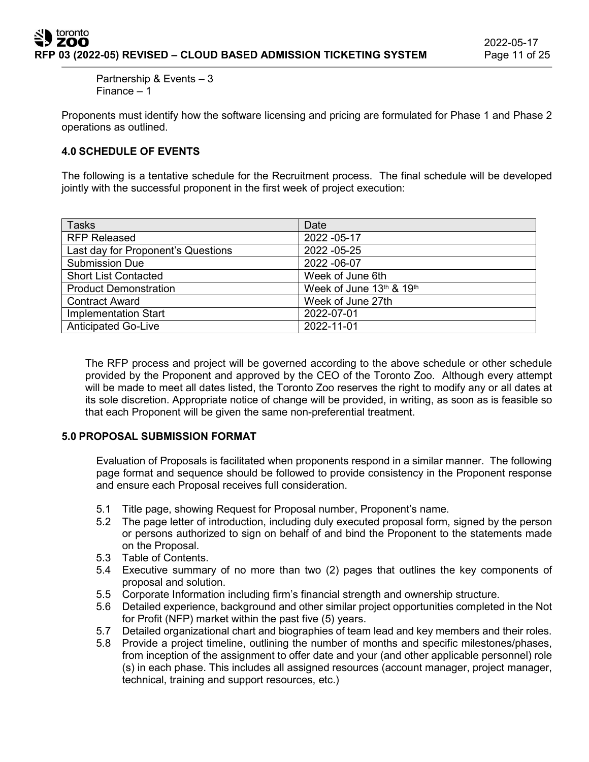Partnership & Events – 3 Finance – 1

Proponents must identify how the software licensing and pricing are formulated for Phase 1 and Phase 2 operations as outlined.

## **4.0 SCHEDULE OF EVENTS**

The following is a tentative schedule for the Recruitment process. The final schedule will be developed jointly with the successful proponent in the first week of project execution:

| <b>Tasks</b>                       | Date                     |
|------------------------------------|--------------------------|
| <b>RFP Released</b>                | 2022 - 05-17             |
| Last day for Proponent's Questions | 2022 - 05-25             |
| <b>Submission Due</b>              | 2022 - 06-07             |
| <b>Short List Contacted</b>        | Week of June 6th         |
| <b>Product Demonstration</b>       | Week of June 13th & 19th |
| <b>Contract Award</b>              | Week of June 27th        |
| <b>Implementation Start</b>        | 2022-07-01               |
| <b>Anticipated Go-Live</b>         | 2022-11-01               |

The RFP process and project will be governed according to the above schedule or other schedule provided by the Proponent and approved by the CEO of the Toronto Zoo. Although every attempt will be made to meet all dates listed, the Toronto Zoo reserves the right to modify any or all dates at its sole discretion. Appropriate notice of change will be provided, in writing, as soon as is feasible so that each Proponent will be given the same non-preferential treatment.

#### **5.0 PROPOSAL SUBMISSION FORMAT**

Evaluation of Proposals is facilitated when proponents respond in a similar manner. The following page format and sequence should be followed to provide consistency in the Proponent response and ensure each Proposal receives full consideration.

- 5.1 Title page, showing Request for Proposal number, Proponent's name.
- 5.2 The page letter of introduction, including duly executed proposal form, signed by the person or persons authorized to sign on behalf of and bind the Proponent to the statements made on the Proposal.
- 5.3 Table of Contents.
- 5.4 Executive summary of no more than two (2) pages that outlines the key components of proposal and solution.
- 5.5 Corporate Information including firm's financial strength and ownership structure.
- 5.6 Detailed experience, background and other similar project opportunities completed in the Not for Profit (NFP) market within the past five (5) years.
- 5.7 Detailed organizational chart and biographies of team lead and key members and their roles.
- 5.8 Provide a project timeline, outlining the number of months and specific milestones/phases, from inception of the assignment to offer date and your (and other applicable personnel) role (s) in each phase. This includes all assigned resources (account manager, project manager, technical, training and support resources, etc.)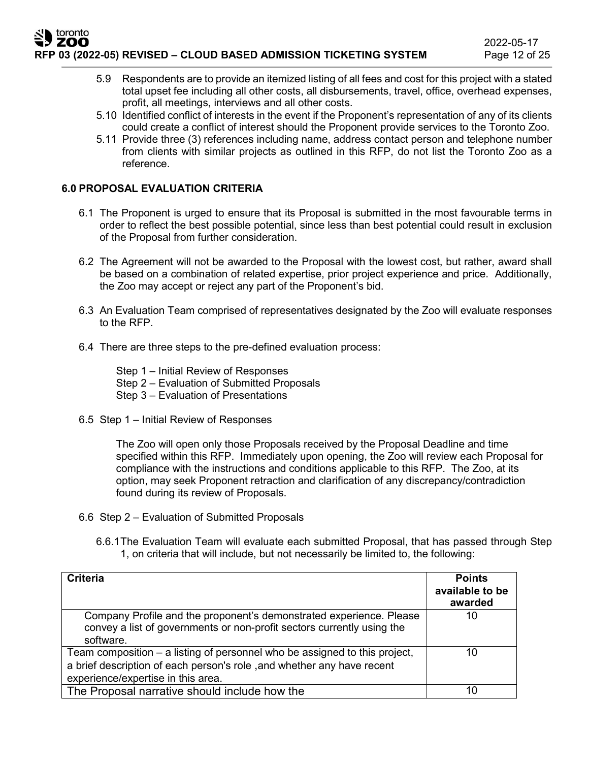- 5.9 Respondents are to provide an itemized listing of all fees and cost for this project with a stated total upset fee including all other costs, all disbursements, travel, office, overhead expenses, profit, all meetings, interviews and all other costs.
- 5.10 Identified conflict of interests in the event if the Proponent's representation of any of its clients could create a conflict of interest should the Proponent provide services to the Toronto Zoo.
- 5.11 Provide three (3) references including name, address contact person and telephone number from clients with similar projects as outlined in this RFP, do not list the Toronto Zoo as a reference.

## **6.0 PROPOSAL EVALUATION CRITERIA**

- 6.1 The Proponent is urged to ensure that its Proposal is submitted in the most favourable terms in order to reflect the best possible potential, since less than best potential could result in exclusion of the Proposal from further consideration.
- 6.2 The Agreement will not be awarded to the Proposal with the lowest cost, but rather, award shall be based on a combination of related expertise, prior project experience and price. Additionally, the Zoo may accept or reject any part of the Proponent's bid.
- 6.3 An Evaluation Team comprised of representatives designated by the Zoo will evaluate responses to the RFP.
- 6.4 There are three steps to the pre-defined evaluation process:
	- Step 1 Initial Review of Responses
	- Step 2 Evaluation of Submitted Proposals
	- Step 3 Evaluation of Presentations
- 6.5 Step 1 Initial Review of Responses

The Zoo will open only those Proposals received by the Proposal Deadline and time specified within this RFP. Immediately upon opening, the Zoo will review each Proposal for compliance with the instructions and conditions applicable to this RFP. The Zoo, at its option, may seek Proponent retraction and clarification of any discrepancy/contradiction found during its review of Proposals.

- 6.6 Step 2 Evaluation of Submitted Proposals
	- 6.6.1The Evaluation Team will evaluate each submitted Proposal, that has passed through Step 1, on criteria that will include, but not necessarily be limited to, the following:

| <b>Criteria</b>                                                                                                                                                                            | <b>Points</b><br>available to be<br>awarded |
|--------------------------------------------------------------------------------------------------------------------------------------------------------------------------------------------|---------------------------------------------|
| Company Profile and the proponent's demonstrated experience. Please<br>convey a list of governments or non-profit sectors currently using the<br>software.                                 | 10                                          |
| Team composition – a listing of personnel who be assigned to this project,<br>a brief description of each person's role, and whether any have recent<br>experience/expertise in this area. | 10                                          |
| The Proposal narrative should include how the                                                                                                                                              | 10                                          |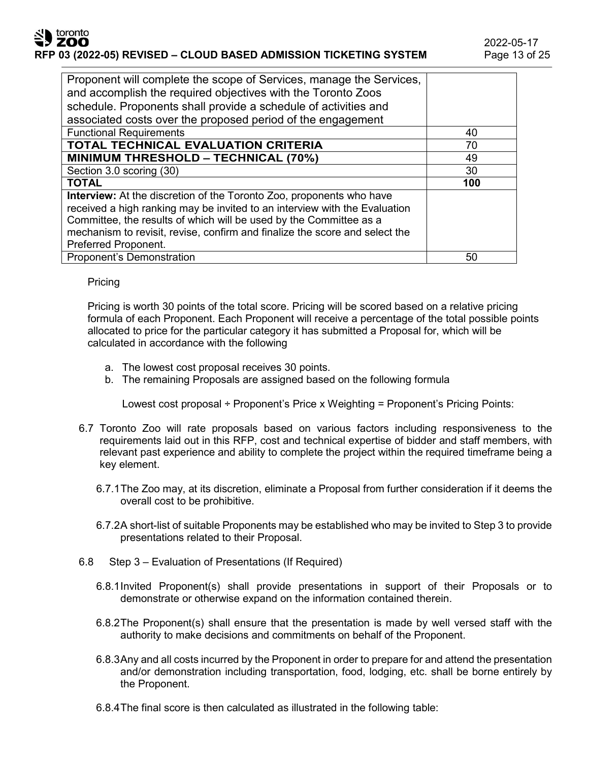## toronto zoo **RFP 03 (2022-05) REVISED – CLOUD BASED ADMISSION TICKETING SYSTEM** Page 13 of 25

| Proponent will complete the scope of Services, manage the Services,         |     |
|-----------------------------------------------------------------------------|-----|
| and accomplish the required objectives with the Toronto Zoos                |     |
| schedule. Proponents shall provide a schedule of activities and             |     |
| associated costs over the proposed period of the engagement                 |     |
| <b>Functional Requirements</b>                                              | 40  |
| TOTAL TECHNICAL EVALUATION CRITERIA                                         | 70  |
| <b>MINIMUM THRESHOLD - TECHNICAL (70%)</b>                                  | 49  |
| Section 3.0 scoring (30)                                                    | 30  |
| <b>TOTAL</b>                                                                | 100 |
| <b>Interview:</b> At the discretion of the Toronto Zoo, proponents who have |     |
| received a high ranking may be invited to an interview with the Evaluation  |     |
| Committee, the results of which will be used by the Committee as a          |     |
| mechanism to revisit, revise, confirm and finalize the score and select the |     |
| Preferred Proponent.                                                        |     |
| <b>Proponent's Demonstration</b>                                            | 50  |

## Pricing

Pricing is worth 30 points of the total score. Pricing will be scored based on a relative pricing formula of each Proponent. Each Proponent will receive a percentage of the total possible points allocated to price for the particular category it has submitted a Proposal for, which will be calculated in accordance with the following

- a. The lowest cost proposal receives 30 points.
- b. The remaining Proposals are assigned based on the following formula

Lowest cost proposal ÷ Proponent's Price x Weighting = Proponent's Pricing Points:

- 6.7 Toronto Zoo will rate proposals based on various factors including responsiveness to the requirements laid out in this RFP, cost and technical expertise of bidder and staff members, with relevant past experience and ability to complete the project within the required timeframe being a key element.
	- 6.7.1The Zoo may, at its discretion, eliminate a Proposal from further consideration if it deems the overall cost to be prohibitive.
	- 6.7.2A short-list of suitable Proponents may be established who may be invited to Step 3 to provide presentations related to their Proposal.
- 6.8 Step 3 Evaluation of Presentations (If Required)
	- 6.8.1Invited Proponent(s) shall provide presentations in support of their Proposals or to demonstrate or otherwise expand on the information contained therein.
	- 6.8.2The Proponent(s) shall ensure that the presentation is made by well versed staff with the authority to make decisions and commitments on behalf of the Proponent.
	- 6.8.3Any and all costs incurred by the Proponent in order to prepare for and attend the presentation and/or demonstration including transportation, food, lodging, etc. shall be borne entirely by the Proponent.
	- 6.8.4The final score is then calculated as illustrated in the following table: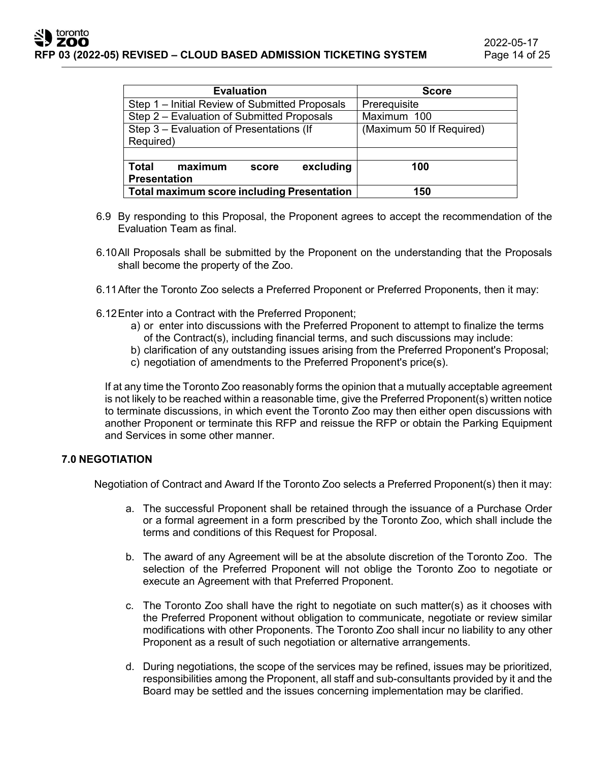| <b>Evaluation</b>                                 | <b>Score</b>             |  |
|---------------------------------------------------|--------------------------|--|
| Step 1 - Initial Review of Submitted Proposals    | Prerequisite             |  |
| Step 2 – Evaluation of Submitted Proposals        | Maximum 100              |  |
| Step 3 - Evaluation of Presentations (If          | (Maximum 50 If Required) |  |
| Required)                                         |                          |  |
|                                                   |                          |  |
| <b>Total</b><br>maximum<br>excluding<br>score     | 100                      |  |
| <b>Presentation</b>                               |                          |  |
| <b>Total maximum score including Presentation</b> | 150                      |  |

- 6.9 By responding to this Proposal, the Proponent agrees to accept the recommendation of the Evaluation Team as final.
- 6.10All Proposals shall be submitted by the Proponent on the understanding that the Proposals shall become the property of the Zoo.
- 6.11After the Toronto Zoo selects a Preferred Proponent or Preferred Proponents, then it may:
- 6.12Enter into a Contract with the Preferred Proponent;
	- a) or enter into discussions with the Preferred Proponent to attempt to finalize the terms of the Contract(s), including financial terms, and such discussions may include:
	- b) clarification of any outstanding issues arising from the Preferred Proponent's Proposal;
	- c) negotiation of amendments to the Preferred Proponent's price(s).

If at any time the Toronto Zoo reasonably forms the opinion that a mutually acceptable agreement is not likely to be reached within a reasonable time, give the Preferred Proponent(s) written notice to terminate discussions, in which event the Toronto Zoo may then either open discussions with another Proponent or terminate this RFP and reissue the RFP or obtain the Parking Equipment and Services in some other manner.

#### **7.0 NEGOTIATION**

Negotiation of Contract and Award If the Toronto Zoo selects a Preferred Proponent(s) then it may:

- a. The successful Proponent shall be retained through the issuance of a Purchase Order or a formal agreement in a form prescribed by the Toronto Zoo, which shall include the terms and conditions of this Request for Proposal.
- b. The award of any Agreement will be at the absolute discretion of the Toronto Zoo. The selection of the Preferred Proponent will not oblige the Toronto Zoo to negotiate or execute an Agreement with that Preferred Proponent.
- c. The Toronto Zoo shall have the right to negotiate on such matter(s) as it chooses with the Preferred Proponent without obligation to communicate, negotiate or review similar modifications with other Proponents. The Toronto Zoo shall incur no liability to any other Proponent as a result of such negotiation or alternative arrangements.
- d. During negotiations, the scope of the services may be refined, issues may be prioritized, responsibilities among the Proponent, all staff and sub-consultants provided by it and the Board may be settled and the issues concerning implementation may be clarified.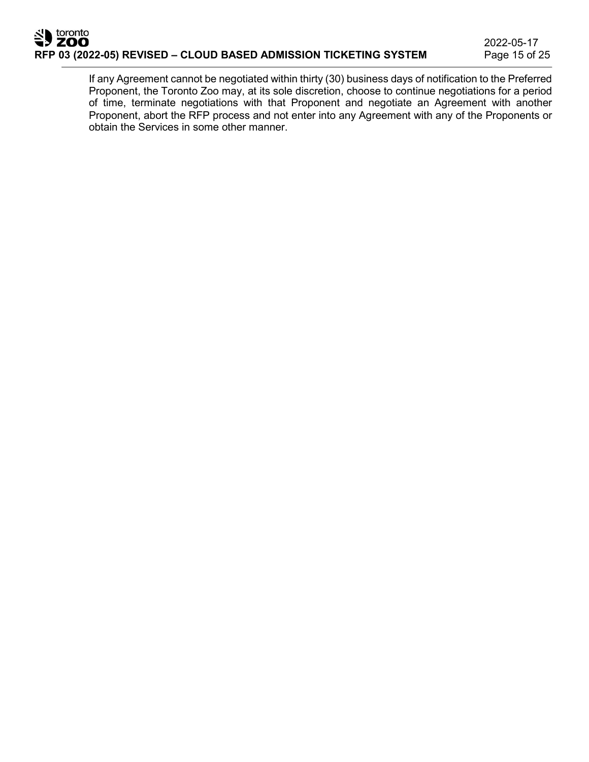# toronto **RFP 03 (2022-05) REVISED – CLOUD BASED ADMISSION TICKETING SYSTEM** Page 15 of 25

If any Agreement cannot be negotiated within thirty (30) business days of notification to the Preferred Proponent, the Toronto Zoo may, at its sole discretion, choose to continue negotiations for a period of time, terminate negotiations with that Proponent and negotiate an Agreement with another Proponent, abort the RFP process and not enter into any Agreement with any of the Proponents or obtain the Services in some other manner.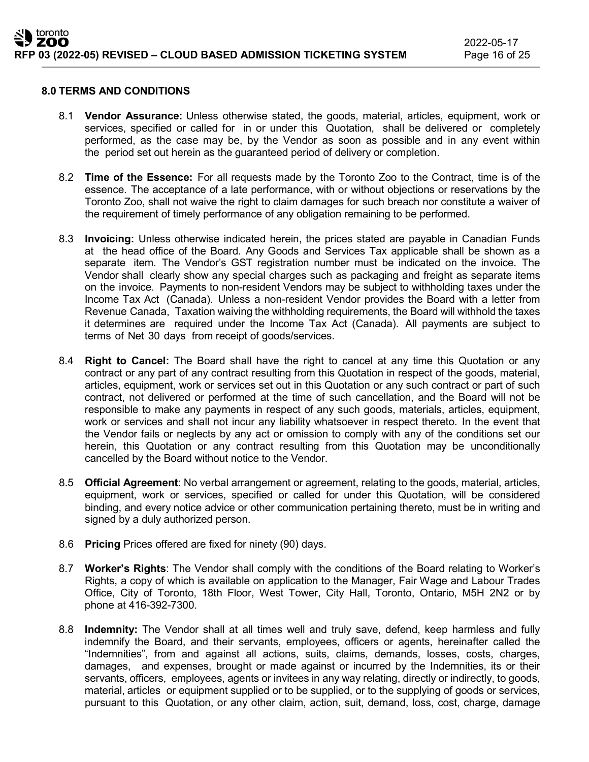#### **8.0 TERMS AND CONDITIONS**

- 8.1 **Vendor Assurance:** Unless otherwise stated, the goods, material, articles, equipment, work or services, specified or called for in or under this Quotation, shall be delivered or completely performed, as the case may be, by the Vendor as soon as possible and in any event within the period set out herein as the guaranteed period of delivery or completion.
- 8.2 **Time of the Essence:** For all requests made by the Toronto Zoo to the Contract, time is of the essence. The acceptance of a late performance, with or without objections or reservations by the Toronto Zoo, shall not waive the right to claim damages for such breach nor constitute a waiver of the requirement of timely performance of any obligation remaining to be performed.
- 8.3 **Invoicing:** Unless otherwise indicated herein, the prices stated are payable in Canadian Funds at the head office of the Board. Any Goods and Services Tax applicable shall be shown as a separate item. The Vendor's GST registration number must be indicated on the invoice. The Vendor shall clearly show any special charges such as packaging and freight as separate items on the invoice. Payments to non-resident Vendors may be subject to withholding taxes under the Income Tax Act (Canada). Unless a non-resident Vendor provides the Board with a letter from Revenue Canada, Taxation waiving the withholding requirements, the Board will withhold the taxes it determines are required under the Income Tax Act (Canada). All payments are subject to terms of Net 30 days from receipt of goods/services.
- 8.4 **Right to Cancel:** The Board shall have the right to cancel at any time this Quotation or any contract or any part of any contract resulting from this Quotation in respect of the goods, material, articles, equipment, work or services set out in this Quotation or any such contract or part of such contract, not delivered or performed at the time of such cancellation, and the Board will not be responsible to make any payments in respect of any such goods, materials, articles, equipment, work or services and shall not incur any liability whatsoever in respect thereto. In the event that the Vendor fails or neglects by any act or omission to comply with any of the conditions set our herein, this Quotation or any contract resulting from this Quotation may be unconditionally cancelled by the Board without notice to the Vendor.
- 8.5 **Official Agreement**: No verbal arrangement or agreement, relating to the goods, material, articles, equipment, work or services, specified or called for under this Quotation, will be considered binding, and every notice advice or other communication pertaining thereto, must be in writing and signed by a duly authorized person.
- 8.6 **Pricing** Prices offered are fixed for ninety (90) days.
- 8.7 **Worker's Rights**: The Vendor shall comply with the conditions of the Board relating to Worker's Rights, a copy of which is available on application to the Manager, Fair Wage and Labour Trades Office, City of Toronto, 18th Floor, West Tower, City Hall, Toronto, Ontario, M5H 2N2 or by phone at 416-392-7300.
- 8.8 **Indemnity:** The Vendor shall at all times well and truly save, defend, keep harmless and fully indemnify the Board, and their servants, employees, officers or agents, hereinafter called the "Indemnities", from and against all actions, suits, claims, demands, losses, costs, charges, damages, and expenses, brought or made against or incurred by the Indemnities, its or their servants, officers, employees, agents or invitees in any way relating, directly or indirectly, to goods, material, articles or equipment supplied or to be supplied, or to the supplying of goods or services, pursuant to this Quotation, or any other claim, action, suit, demand, loss, cost, charge, damage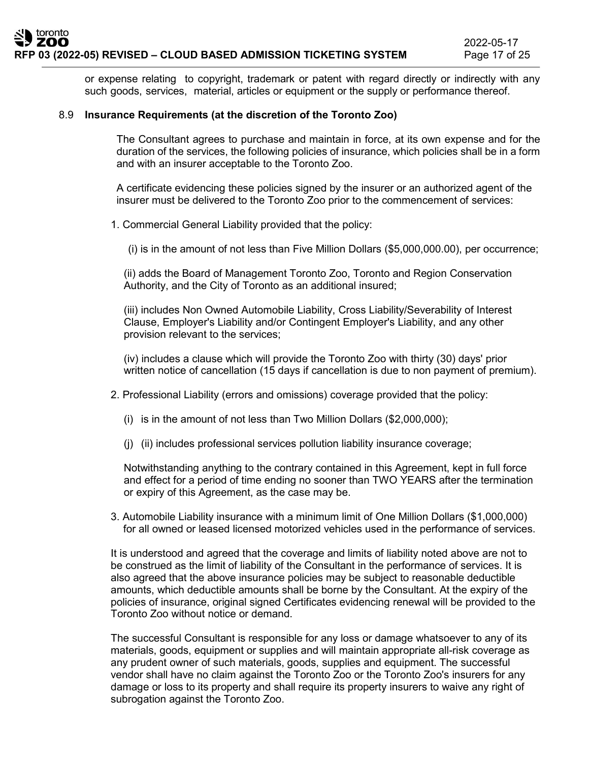or expense relating to copyright, trademark or patent with regard directly or indirectly with any such goods, services, material, articles or equipment or the supply or performance thereof.

#### 8.9 **Insurance Requirements (at the discretion of the Toronto Zoo)**

The Consultant agrees to purchase and maintain in force, at its own expense and for the duration of the services, the following policies of insurance, which policies shall be in a form and with an insurer acceptable to the Toronto Zoo.

A certificate evidencing these policies signed by the insurer or an authorized agent of the insurer must be delivered to the Toronto Zoo prior to the commencement of services:

1. Commercial General Liability provided that the policy:

(i) is in the amount of not less than Five Million Dollars (\$5,000,000.00), per occurrence;

(ii) adds the Board of Management Toronto Zoo, Toronto and Region Conservation Authority, and the City of Toronto as an additional insured;

(iii) includes Non Owned Automobile Liability, Cross Liability/Severability of Interest Clause, Employer's Liability and/or Contingent Employer's Liability, and any other provision relevant to the services;

(iv) includes a clause which will provide the Toronto Zoo with thirty (30) days' prior written notice of cancellation (15 days if cancellation is due to non payment of premium).

- 2. Professional Liability (errors and omissions) coverage provided that the policy:
	- (i) is in the amount of not less than Two Million Dollars (\$2,000,000);
	- (j) (ii) includes professional services pollution liability insurance coverage;

Notwithstanding anything to the contrary contained in this Agreement, kept in full force and effect for a period of time ending no sooner than TWO YEARS after the termination or expiry of this Agreement, as the case may be.

3. Automobile Liability insurance with a minimum limit of One Million Dollars (\$1,000,000) for all owned or leased licensed motorized vehicles used in the performance of services.

It is understood and agreed that the coverage and limits of liability noted above are not to be construed as the limit of liability of the Consultant in the performance of services. It is also agreed that the above insurance policies may be subject to reasonable deductible amounts, which deductible amounts shall be borne by the Consultant. At the expiry of the policies of insurance, original signed Certificates evidencing renewal will be provided to the Toronto Zoo without notice or demand.

The successful Consultant is responsible for any loss or damage whatsoever to any of its materials, goods, equipment or supplies and will maintain appropriate all-risk coverage as any prudent owner of such materials, goods, supplies and equipment. The successful vendor shall have no claim against the Toronto Zoo or the Toronto Zoo's insurers for any damage or loss to its property and shall require its property insurers to waive any right of subrogation against the Toronto Zoo.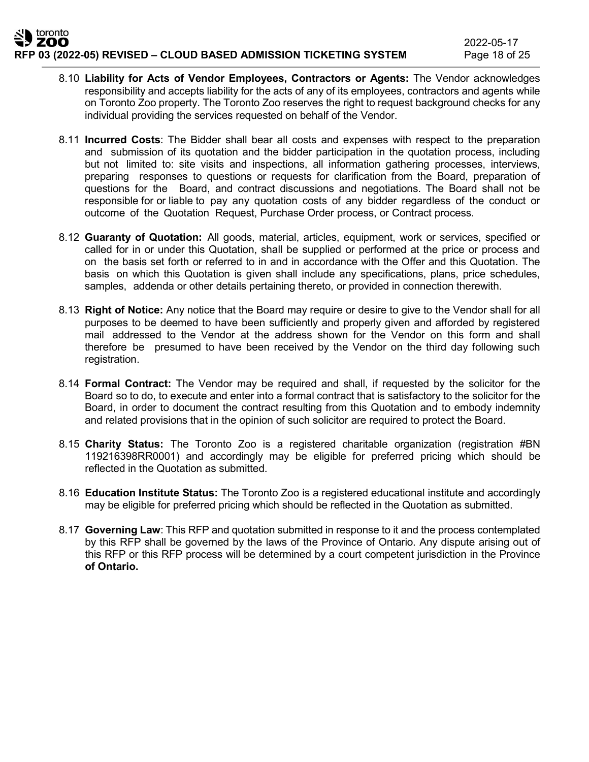- 8.10 **Liability for Acts of Vendor Employees, Contractors or Agents:** The Vendor acknowledges responsibility and accepts liability for the acts of any of its employees, contractors and agents while on Toronto Zoo property. The Toronto Zoo reserves the right to request background checks for any individual providing the services requested on behalf of the Vendor.
- 8.11 **Incurred Costs**: The Bidder shall bear all costs and expenses with respect to the preparation and submission of its quotation and the bidder participation in the quotation process, including but not limited to: site visits and inspections, all information gathering processes, interviews, preparing responses to questions or requests for clarification from the Board, preparation of questions for the Board, and contract discussions and negotiations. The Board shall not be responsible for or liable to pay any quotation costs of any bidder regardless of the conduct or outcome of the Quotation Request, Purchase Order process, or Contract process.
- 8.12 **Guaranty of Quotation:** All goods, material, articles, equipment, work or services, specified or called for in or under this Quotation, shall be supplied or performed at the price or process and on the basis set forth or referred to in and in accordance with the Offer and this Quotation. The basis on which this Quotation is given shall include any specifications, plans, price schedules, samples, addenda or other details pertaining thereto, or provided in connection therewith.
- 8.13 **Right of Notice:** Any notice that the Board may require or desire to give to the Vendor shall for all purposes to be deemed to have been sufficiently and properly given and afforded by registered mail addressed to the Vendor at the address shown for the Vendor on this form and shall therefore be presumed to have been received by the Vendor on the third day following such registration.
- 8.14 **Formal Contract:** The Vendor may be required and shall, if requested by the solicitor for the Board so to do, to execute and enter into a formal contract that is satisfactory to the solicitor for the Board, in order to document the contract resulting from this Quotation and to embody indemnity and related provisions that in the opinion of such solicitor are required to protect the Board.
- 8.15 **Charity Status:** The Toronto Zoo is a registered charitable organization (registration #BN 119216398RR0001) and accordingly may be eligible for preferred pricing which should be reflected in the Quotation as submitted.
- 8.16 **Education Institute Status:** The Toronto Zoo is a registered educational institute and accordingly may be eligible for preferred pricing which should be reflected in the Quotation as submitted.
- 8.17 **Governing Law**: This RFP and quotation submitted in response to it and the process contemplated by this RFP shall be governed by the laws of the Province of Ontario. Any dispute arising out of this RFP or this RFP process will be determined by a court competent jurisdiction in the Province **of Ontario.**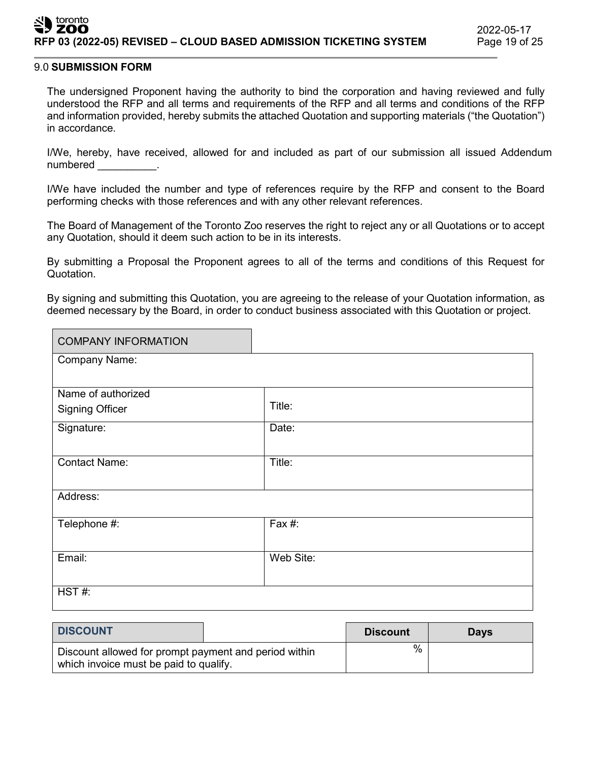#### toronto ZOO **RFP 03 (2022-05) REVISED – CLOUD BASED ADMISSION TICKETING SYSTEM**

#### 9.0 **SUBMISSION FORM**

The undersigned Proponent having the authority to bind the corporation and having reviewed and fully understood the RFP and all terms and requirements of the RFP and all terms and conditions of the RFP and information provided, hereby submits the attached Quotation and supporting materials ("the Quotation") in accordance.

I/We, hereby, have received, allowed for and included as part of our submission all issued Addendum numbered **contains the set of the set of the set of the set of the set of the set of the set of the set of the s** 

I/We have included the number and type of references require by the RFP and consent to the Board performing checks with those references and with any other relevant references.

The Board of Management of the Toronto Zoo reserves the right to reject any or all Quotations or to accept any Quotation, should it deem such action to be in its interests.

By submitting a Proposal the Proponent agrees to all of the terms and conditions of this Request for Quotation.

By signing and submitting this Quotation, you are agreeing to the release of your Quotation information, as deemed necessary by the Board, in order to conduct business associated with this Quotation or project.

| <b>COMPANY INFORMATION</b> |           |
|----------------------------|-----------|
| <b>Company Name:</b>       |           |
|                            |           |
| Name of authorized         |           |
| <b>Signing Officer</b>     | Title:    |
| Signature:                 | Date:     |
|                            |           |
| <b>Contact Name:</b>       | Title:    |
|                            |           |
| Address:                   |           |
| Telephone #:               | Fax #:    |
|                            |           |
| Email:                     | Web Site: |
|                            |           |
| HST#                       |           |
|                            |           |

| <b>DISCOUNT</b>                                                                                 |  | <b>Discount</b> | <b>Days</b> |
|-------------------------------------------------------------------------------------------------|--|-----------------|-------------|
| Discount allowed for prompt payment and period within<br>which invoice must be paid to qualify. |  | %               |             |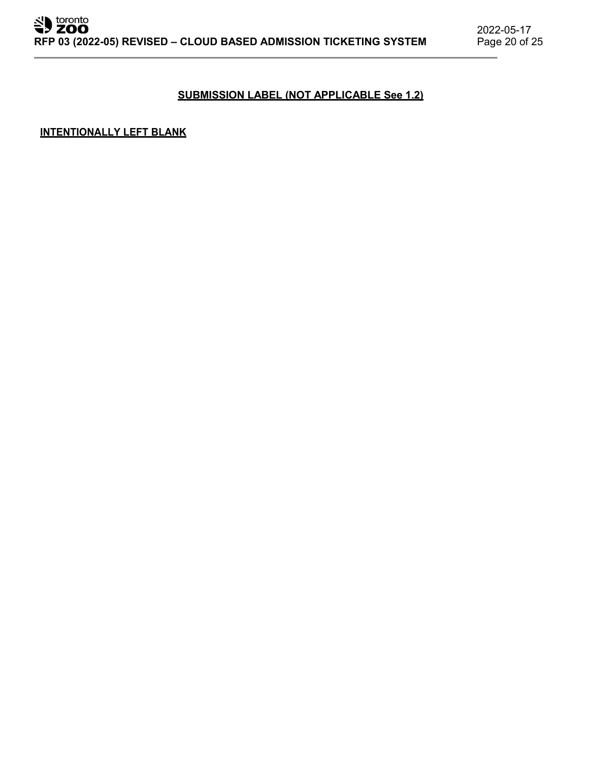## **SUBMISSION LABEL (NOT APPLICABLE See 1.2)**

## **INTENTIONALLY LEFT BLANK**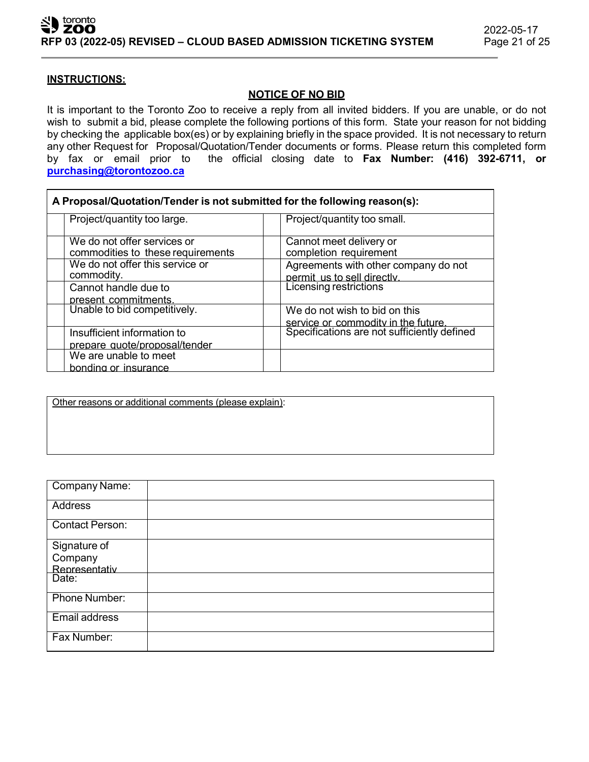## **INSTRUCTIONS:**

## **NOTICE OF NO BID**

It is important to the Toronto Zoo to receive a reply from all invited bidders. If you are unable, or do not wish to submit a bid, please complete the following portions of this form. State your reason for not bidding by checking the applicable box(es) or by explaining briefly in the space provided. It is not necessary to return any other Request for Proposal/Quotation/Tender documents or forms. Please return this completed form<br>by fax or email prior to the official closing date to Fax Number: (416) 392-6711, or the official closing date to Fax Number: (416) 392-6711, or **[purchasing@torontozoo.ca](mailto:purchasing@torontozoo.ca)**

| A Proposal/Quotation/Tender is not submitted for the following reason(s): |                                                                      |  |  |  |
|---------------------------------------------------------------------------|----------------------------------------------------------------------|--|--|--|
| Project/quantity too large.                                               | Project/quantity too small.                                          |  |  |  |
| We do not offer services or<br>commodities to these requirements          | Cannot meet delivery or<br>completion requirement                    |  |  |  |
| We do not offer this service or<br>commodity.                             | Agreements with other company do not<br>permit us to sell directly.  |  |  |  |
| Cannot handle due to<br>present commitments.                              | <b>Licensing restrictions</b>                                        |  |  |  |
| Unable to bid competitively.                                              | We do not wish to bid on this<br>service or commodity in the future. |  |  |  |
| Insufficient information to<br>prepare quote/proposal/tender              | Specifications are not sufficiently defined                          |  |  |  |
| We are unable to meet<br>bonding or insurance                             |                                                                      |  |  |  |

Other reasons or additional comments (please explain):

| Company Name:          |  |
|------------------------|--|
| <b>Address</b>         |  |
| <b>Contact Person:</b> |  |
| Signature of           |  |
| Company                |  |
| Representativ          |  |
| Date:                  |  |
| Phone Number:          |  |
| Email address          |  |
| Fax Number:            |  |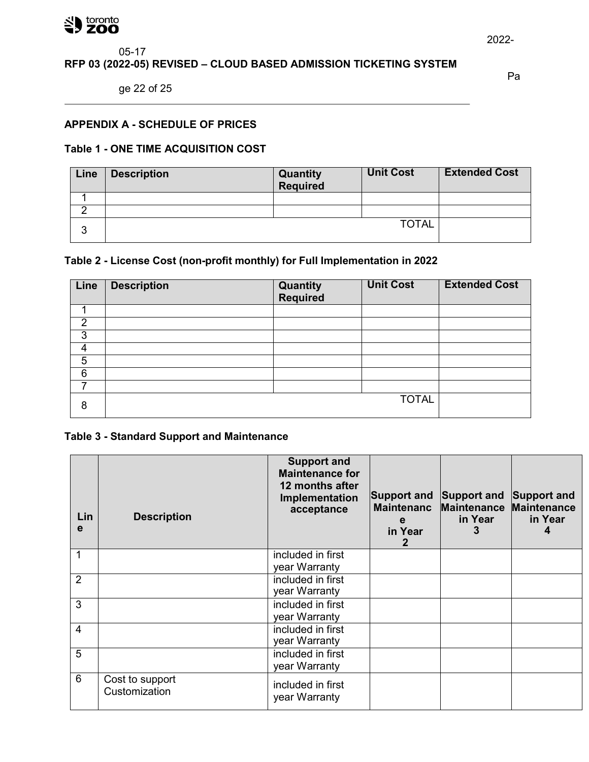#### 쇄  $\big)$  toronto

## 05-17 **RFP 03 (2022-05) REVISED – CLOUD BASED ADMISSION TICKETING SYSTEM**

ge 22 of 25

Pa

# **APPENDIX A - SCHEDULE OF PRICES**

## **Table 1 - ONE TIME ACQUISITION COST**

| Line   | <b>Description</b> | <b>Quantity</b><br>Required | <b>Unit Cost</b> | <b>Extended Cost</b> |
|--------|--------------------|-----------------------------|------------------|----------------------|
|        |                    |                             |                  |                      |
|        |                    |                             |                  |                      |
| ົ<br>w |                    |                             | <b>TOTAL</b>     |                      |

# **Table 2 - License Cost (non-profit monthly) for Full Implementation in 2022**

| Line | <b>Description</b> | <b>Quantity</b><br>Required | <b>Unit Cost</b> | <b>Extended Cost</b> |
|------|--------------------|-----------------------------|------------------|----------------------|
|      |                    |                             |                  |                      |
| 2    |                    |                             |                  |                      |
| 3    |                    |                             |                  |                      |
| 4    |                    |                             |                  |                      |
| 5    |                    |                             |                  |                      |
| 6    |                    |                             |                  |                      |
|      |                    |                             |                  |                      |
| 8    |                    |                             | <b>TOTAL</b>     |                      |

# **Table 3 - Standard Support and Maintenance**

| Lin<br>e       | <b>Description</b>               | <b>Support and</b><br><b>Maintenance for</b><br>12 months after<br>Implementation<br>acceptance | Support and<br><b>Maintenanc</b><br>e<br>in Year | Support and<br><b>Maintenance</b><br>in Year | Support and<br><b>Maintenance</b><br>in Year |
|----------------|----------------------------------|-------------------------------------------------------------------------------------------------|--------------------------------------------------|----------------------------------------------|----------------------------------------------|
| 1              |                                  | included in first                                                                               |                                                  |                                              |                                              |
|                |                                  | year Warranty                                                                                   |                                                  |                                              |                                              |
| $\overline{2}$ |                                  | included in first<br>year Warranty                                                              |                                                  |                                              |                                              |
| 3              |                                  | included in first                                                                               |                                                  |                                              |                                              |
|                |                                  | year Warranty                                                                                   |                                                  |                                              |                                              |
| $\overline{4}$ |                                  | included in first<br>year Warranty                                                              |                                                  |                                              |                                              |
| 5              |                                  | included in first<br>year Warranty                                                              |                                                  |                                              |                                              |
| 6              | Cost to support<br>Customization | included in first<br>year Warranty                                                              |                                                  |                                              |                                              |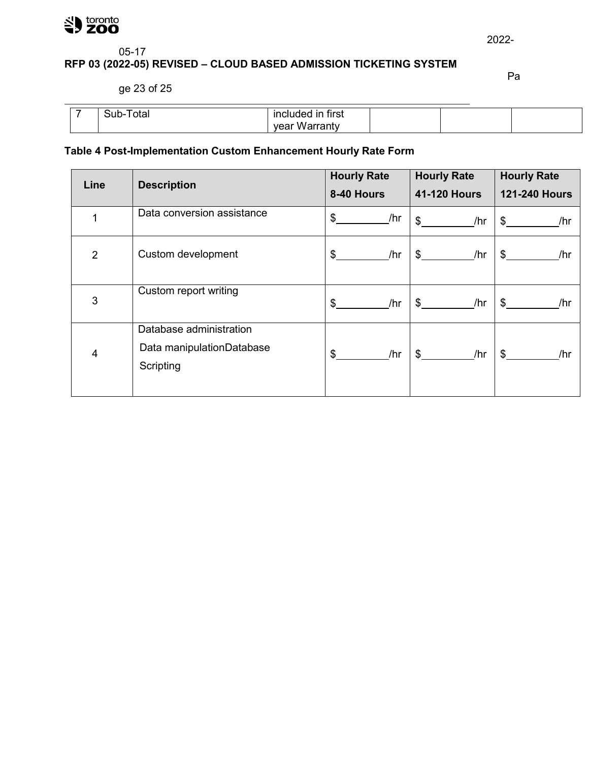

# 05-17

# **RFP 03 (2022-05) REVISED – CLOUD BASED ADMISSION TICKETING SYSTEM**

ge 23 of 25

Pa

| . .<br>υιαι | $-$<br>tırst<br>ır<br>In |  |  |
|-------------|--------------------------|--|--|
|             | 76                       |  |  |

# **Table 4 Post-Implementation Custom Enhancement Hourly Rate Form**

| Line           | <b>Description</b>                                                | <b>Hourly Rate</b> | <b>Hourly Rate</b>  | <b>Hourly Rate</b>    |
|----------------|-------------------------------------------------------------------|--------------------|---------------------|-----------------------|
|                |                                                                   | 8-40 Hours         | <b>41-120 Hours</b> | <b>121-240 Hours</b>  |
|                | Data conversion assistance                                        | \$<br>/hr          | \$<br>/hr           | $\mathbb{S}^-$<br>/hr |
| $\overline{2}$ | Custom development                                                | \$<br>/hr          | \$<br>/hr           | $\mathfrak{S}$<br>/hr |
| 3              | Custom report writing                                             | \$<br>/hr          | \$<br>/hr           | $\mathbb{S}^-$<br>/hr |
| 4              | Database administration<br>Data manipulationDatabase<br>Scripting | \$<br>/hr          | /hr<br>\$.          | $\mathbb{S}$<br>/hr   |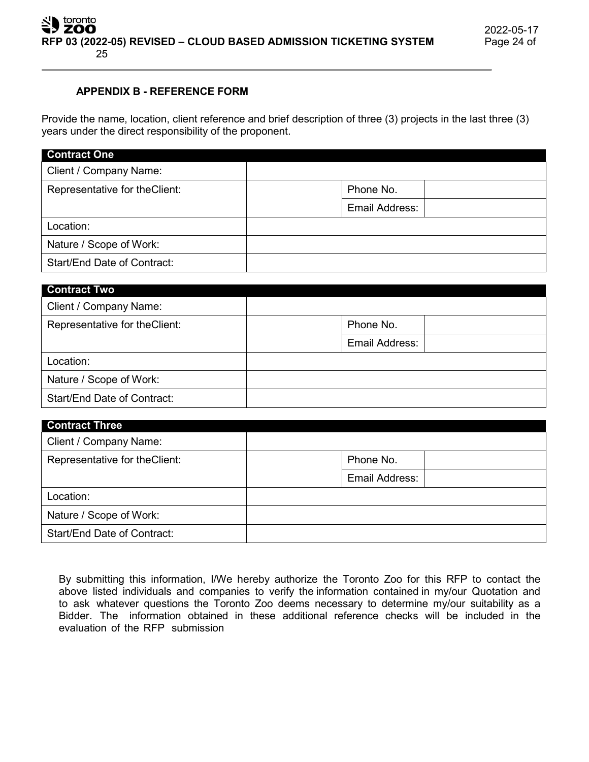## **APPENDIX B - REFERENCE FORM**

Provide the name, location, client reference and brief description of three (3) projects in the last three (3) years under the direct responsibility of the proponent.

| <b>Contract One</b>            |                |
|--------------------------------|----------------|
| Client / Company Name:         |                |
| Representative for the Client: | Phone No.      |
|                                | Email Address: |
| Location:                      |                |
| Nature / Scope of Work:        |                |
| Start/End Date of Contract:    |                |

| <b>Contract Two</b>            |                |
|--------------------------------|----------------|
| Client / Company Name:         |                |
| Representative for the Client: | Phone No.      |
|                                | Email Address: |
| Location:                      |                |
| Nature / Scope of Work:        |                |
| Start/End Date of Contract:    |                |

| <b>Contract Three</b>          |                |
|--------------------------------|----------------|
| Client / Company Name:         |                |
| Representative for the Client: | Phone No.      |
|                                | Email Address: |
| Location:                      |                |
| Nature / Scope of Work:        |                |
| Start/End Date of Contract:    |                |

By submitting this information, I/We hereby authorize the Toronto Zoo for this RFP to contact the above listed individuals and companies to verify the information contained in my/our Quotation and to ask whatever questions the Toronto Zoo deems necessary to determine my/our suitability as a Bidder. The information obtained in these additional reference checks will be included in the evaluation of the RFP submission